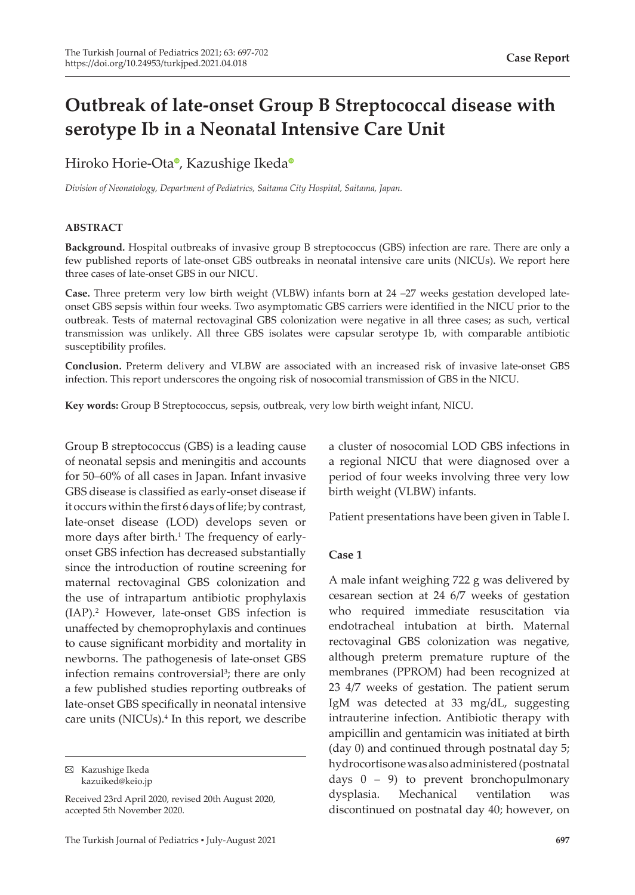# **Outbreak of late-onset Group B Streptococcal disease with serotype Ib in a Neonatal Intensive Care Unit**

Hiroko Horie-Ota<sup>o</sup>[,](https://orcid.org/0000-0003-0366-4219) K[a](https://orcid.org/0000-0002-3097-2156)zushige Ikeda<sup>o</sup>

*Division of Neonatology, Department of Pediatrics, Saitama City Hospital, Saitama, Japan.*

#### **ABSTRACT**

**Background.** Hospital outbreaks of invasive group B streptococcus (GBS) infection are rare. There are only a few published reports of late-onset GBS outbreaks in neonatal intensive care units (NICUs). We report here three cases of late-onset GBS in our NICU.

**Case.** Three preterm very low birth weight (VLBW) infants born at 24 –27 weeks gestation developed lateonset GBS sepsis within four weeks. Two asymptomatic GBS carriers were identified in the NICU prior to the outbreak. Tests of maternal rectovaginal GBS colonization were negative in all three cases; as such, vertical transmission was unlikely. All three GBS isolates were capsular serotype 1b, with comparable antibiotic susceptibility profiles.

**Conclusion.** Preterm delivery and VLBW are associated with an increased risk of invasive late-onset GBS infection. This report underscores the ongoing risk of nosocomial transmission of GBS in the NICU.

**Key words:** Group B Streptococcus, sepsis, outbreak, very low birth weight infant, NICU.

Group B streptococcus (GBS) is a leading cause of neonatal sepsis and meningitis and accounts for 50–60% of all cases in Japan. Infant invasive GBS disease is classified as early-onset disease if it occurs within the first 6 days of life; by contrast, late-onset disease (LOD) develops seven or more days after birth.<sup>1</sup> The frequency of earlyonset GBS infection has decreased substantially since the introduction of routine screening for maternal rectovaginal GBS colonization and the use of intrapartum antibiotic prophylaxis (IAP).2 However, late-onset GBS infection is unaffected by chemoprophylaxis and continues to cause significant morbidity and mortality in newborns. The pathogenesis of late-onset GBS infection remains controversial<sup>3</sup>; there are only a few published studies reporting outbreaks of late-onset GBS specifically in neonatal intensive care units (NICUs).<sup>4</sup> In this report, we describe

Kazushige Ikeda kazuiked@keio.jp

Received 23rd April 2020, revised 20th August 2020, accepted 5th November 2020.

a cluster of nosocomial LOD GBS infections in a regional NICU that were diagnosed over a period of four weeks involving three very low birth weight (VLBW) infants.

Patient presentations have been given in Table I.

#### **Case 1**

A male infant weighing 722 g was delivered by cesarean section at 24 6/7 weeks of gestation who required immediate resuscitation via endotracheal intubation at birth. Maternal rectovaginal GBS colonization was negative, although preterm premature rupture of the membranes (PPROM) had been recognized at 23 4/7 weeks of gestation. The patient serum IgM was detected at 33 mg/dL, suggesting intrauterine infection. Antibiotic therapy with ampicillin and gentamicin was initiated at birth (day 0) and continued through postnatal day 5; hydrocortisone was also administered (postnatal days  $0 - 9$ ) to prevent bronchopulmonary dysplasia. Mechanical ventilation was discontinued on postnatal day 40; however, on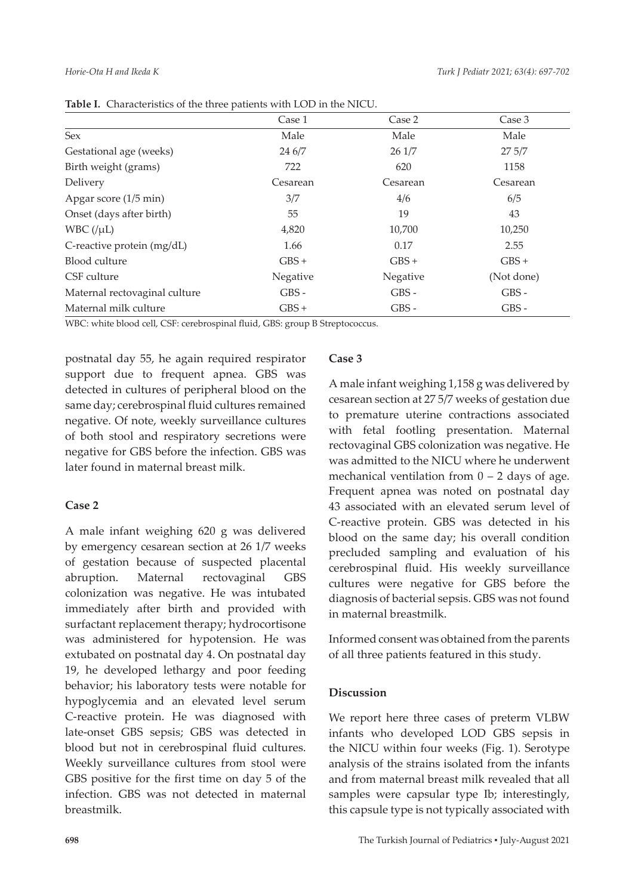|                               | Case 1   | Case 2   | Case 3     |
|-------------------------------|----------|----------|------------|
| <b>Sex</b>                    | Male     | Male     | Male       |
| Gestational age (weeks)       | 24 6/7   | 26 1/7   | 275/7      |
| Birth weight (grams)          | 722      | 620      | 1158       |
| Delivery                      | Cesarean | Cesarean | Cesarean   |
| Apgar score (1/5 min)         | 3/7      | 4/6      | 6/5        |
| Onset (days after birth)      | 55       | 19       | 43         |
| $WBC$ (/ $\mu L$ )            | 4,820    | 10,700   | 10,250     |
| C-reactive protein (mg/dL)    | 1.66     | 0.17     | 2.55       |
| Blood culture                 | $GBS +$  | $GBS +$  | $GBS +$    |
| CSF culture                   | Negative | Negative | (Not done) |
| Maternal rectovaginal culture | $GBS -$  | $GBS -$  | $GBS -$    |
| Maternal milk culture         | $GBS +$  | $GBS -$  | $GBS -$    |

**Table I.** Characteristics of the three patients with LOD in the NICU.

WBC: white blood cell, CSF: cerebrospinal fluid, GBS: group B Streptococcus.

postnatal day 55, he again required respirator support due to frequent apnea. GBS was detected in cultures of peripheral blood on the same day; cerebrospinal fluid cultures remained negative. Of note, weekly surveillance cultures of both stool and respiratory secretions were negative for GBS before the infection. GBS was later found in maternal breast milk.

# **Case 2**

A male infant weighing 620 g was delivered by emergency cesarean section at 26 1/7 weeks of gestation because of suspected placental abruption. Maternal rectovaginal GBS colonization was negative. He was intubated immediately after birth and provided with surfactant replacement therapy; hydrocortisone was administered for hypotension. He was extubated on postnatal day 4. On postnatal day 19, he developed lethargy and poor feeding behavior; his laboratory tests were notable for hypoglycemia and an elevated level serum C-reactive protein. He was diagnosed with late-onset GBS sepsis; GBS was detected in blood but not in cerebrospinal fluid cultures. Weekly surveillance cultures from stool were GBS positive for the first time on day 5 of the infection. GBS was not detected in maternal breastmilk.

# **Case 3**

A male infant weighing 1,158 g was delivered by cesarean section at 27 5/7 weeks of gestation due to premature uterine contractions associated with fetal footling presentation. Maternal rectovaginal GBS colonization was negative. He was admitted to the NICU where he underwent mechanical ventilation from  $0 - 2$  days of age. Frequent apnea was noted on postnatal day 43 associated with an elevated serum level of C-reactive protein. GBS was detected in his blood on the same day; his overall condition precluded sampling and evaluation of his cerebrospinal fluid. His weekly surveillance cultures were negative for GBS before the diagnosis of bacterial sepsis. GBS was not found in maternal breastmilk.

Informed consent was obtained from the parents of all three patients featured in this study.

# **Discussion**

We report here three cases of preterm VLBW infants who developed LOD GBS sepsis in the NICU within four weeks (Fig. 1). Serotype analysis of the strains isolated from the infants and from maternal breast milk revealed that all samples were capsular type Ib; interestingly, this capsule type is not typically associated with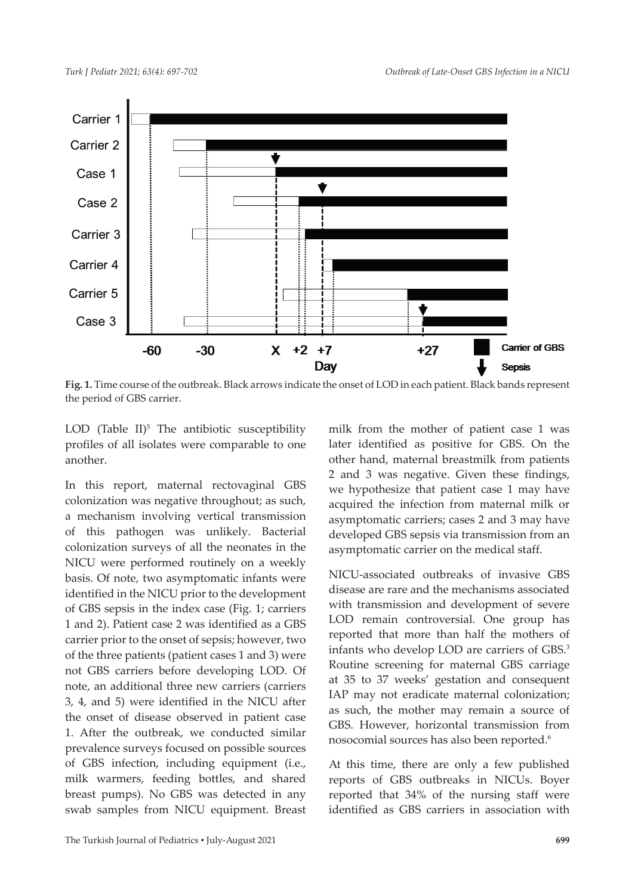

**Fig. 1.** Time course of the outbreak. Black arrows indicate the onset of LOD in each patient. Black bands represent the period of GBS carrier.

LOD (Table  $II$ )<sup>5</sup> The antibiotic susceptibility profiles of all isolates were comparable to one another.

In this report, maternal rectovaginal GBS colonization was negative throughout; as such, a mechanism involving vertical transmission of this pathogen was unlikely. Bacterial colonization surveys of all the neonates in the NICU were performed routinely on a weekly basis. Of note, two asymptomatic infants were identified in the NICU prior to the development of GBS sepsis in the index case (Fig. 1; carriers 1 and 2). Patient case 2 was identified as a GBS carrier prior to the onset of sepsis; however, two of the three patients (patient cases 1 and 3) were not GBS carriers before developing LOD. Of note, an additional three new carriers (carriers 3, 4, and 5) were identified in the NICU after the onset of disease observed in patient case 1. After the outbreak, we conducted similar prevalence surveys focused on possible sources of GBS infection, including equipment (i.e., milk warmers, feeding bottles, and shared breast pumps). No GBS was detected in any swab samples from NICU equipment. Breast

milk from the mother of patient case 1 was later identified as positive for GBS. On the other hand, maternal breastmilk from patients 2 and 3 was negative. Given these findings, we hypothesize that patient case 1 may have acquired the infection from maternal milk or asymptomatic carriers; cases 2 and 3 may have developed GBS sepsis via transmission from an asymptomatic carrier on the medical staff.

NICU-associated outbreaks of invasive GBS disease are rare and the mechanisms associated with transmission and development of severe LOD remain controversial. One group has reported that more than half the mothers of infants who develop LOD are carriers of GBS.<sup>3</sup> Routine screening for maternal GBS carriage at 35 to 37 weeks' gestation and consequent IAP may not eradicate maternal colonization; as such, the mother may remain a source of GBS. However, horizontal transmission from nosocomial sources has also been reported.<sup>6</sup>

At this time, there are only a few published reports of GBS outbreaks in NICUs. Boyer reported that 34% of the nursing staff were identified as GBS carriers in association with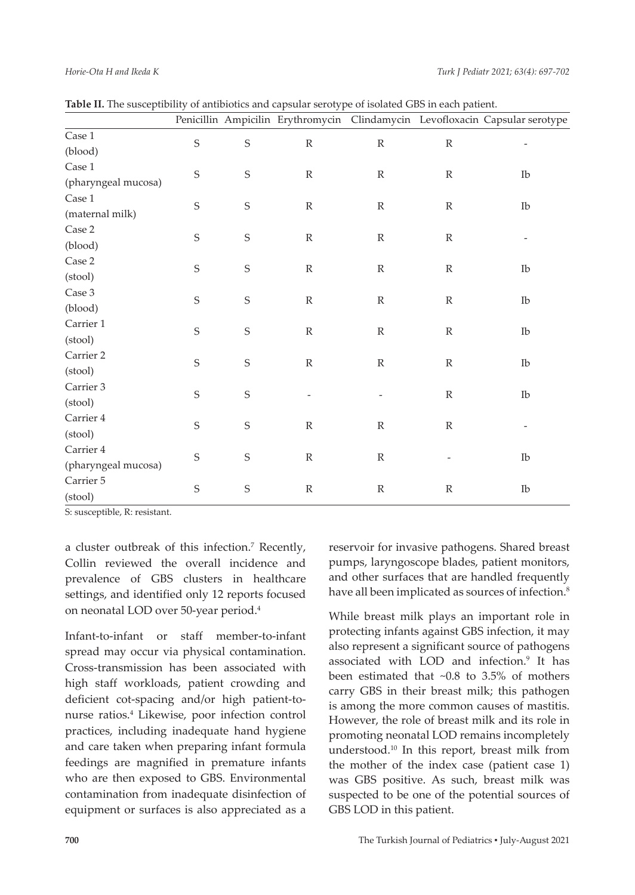|                     |             |             |               |               |               | Penicillin Ampicilin Erythromycin Clindamycin Levofloxacin Capsular serotype |
|---------------------|-------------|-------------|---------------|---------------|---------------|------------------------------------------------------------------------------|
| Case 1              | $\mathsf S$ | $\mathbf S$ | ${\mathbb R}$ | ${\mathbb R}$ | ${\mathbb R}$ | $\overline{\phantom{a}}$                                                     |
| (blood)             |             |             |               |               |               |                                                                              |
| Case 1              | S           | $\mathbf S$ | ${\mathbb R}$ | $\mathbb R$   | $\mathbb R$   | Ib                                                                           |
| (pharyngeal mucosa) |             |             |               |               |               |                                                                              |
| $\rm Case~1$        | S           | $\mathbf S$ | ${\mathbb R}$ | $\mathbb{R}$  | $\mathbb{R}$  | Ib                                                                           |
| (maternal milk)     |             |             |               |               |               |                                                                              |
| Case 2              | S           | $\mathbf S$ | $\mathbb R$   | $\mathbb{R}$  | $\mathbb{R}$  |                                                                              |
| (blood)             |             |             |               |               |               |                                                                              |
| Case 2              | $\mathbf S$ | S           | $\mathbb R$   | $\mathbb{R}$  | $\mathbb{R}$  | $_{\text{Ib}}$                                                               |
| (stool)             |             |             |               |               |               |                                                                              |
| Case 3              | $\mathbf S$ | S           | $\mathbb R$   | $\mathbb R$   | $\mathbb{R}$  | $_{\rm Ib}$                                                                  |
| (blood)             |             |             |               |               |               |                                                                              |
| Carrier 1           | $\mathbf S$ | $\mathbf S$ | $\mathbb R$   | ${\mathbb R}$ | $\mathbb R$   | Ib                                                                           |
| (stool)             |             |             |               |               |               |                                                                              |
| Carrier 2           | $\mathbf S$ | $\mathbf S$ | $\mathbb R$   | $\mathbb R$   | $\mathbb{R}$  | Ib                                                                           |
| (stool)             |             |             |               |               |               |                                                                              |
| Carrier 3           | $\mathbf S$ | $\mathsf S$ |               |               | $\mathbb{R}$  | $_{\text{Ib}}$                                                               |
| (stool)             |             |             |               |               |               |                                                                              |
| Carrier 4           | S           | $\mathsf S$ | $\mathbb R$   | $\mathbb R$   | $\mathbb{R}$  |                                                                              |
| (stool)             |             |             |               |               |               |                                                                              |
| Carrier 4           | S           | $\mathsf S$ | $\mathbb R$   | $\mathbb R$   |               | $_{\text{Ib}}$                                                               |
| (pharyngeal mucosa) |             |             |               |               |               |                                                                              |
| Carrier 5           | $\mathbf S$ | $\mathbf S$ | $\mathbb R$   | $\mathbb{R}$  | R             | Ib                                                                           |
| (stool)             |             |             |               |               |               |                                                                              |

S: susceptible, R: resistant.

a cluster outbreak of this infection.<sup>7</sup> Recently, Collin reviewed the overall incidence and prevalence of GBS clusters in healthcare settings, and identified only 12 reports focused on neonatal LOD over 50-year period.4

Infant-to-infant or staff member-to-infant spread may occur via physical contamination. Cross-transmission has been associated with high staff workloads, patient crowding and deficient cot-spacing and/or high patient-tonurse ratios.<sup>4</sup> Likewise, poor infection control practices, including inadequate hand hygiene and care taken when preparing infant formula feedings are magnified in premature infants who are then exposed to GBS. Environmental contamination from inadequate disinfection of equipment or surfaces is also appreciated as a

reservoir for invasive pathogens. Shared breast pumps, laryngoscope blades, patient monitors, and other surfaces that are handled frequently have all been implicated as sources of infection.<sup>8</sup>

While breast milk plays an important role in protecting infants against GBS infection, it may also represent a significant source of pathogens associated with LOD and infection.<sup>9</sup> It has been estimated that ~0.8 to 3.5% of mothers carry GBS in their breast milk; this pathogen is among the more common causes of mastitis. However, the role of breast milk and its role in promoting neonatal LOD remains incompletely understood.10 In this report, breast milk from the mother of the index case (patient case 1) was GBS positive. As such, breast milk was suspected to be one of the potential sources of GBS LOD in this patient.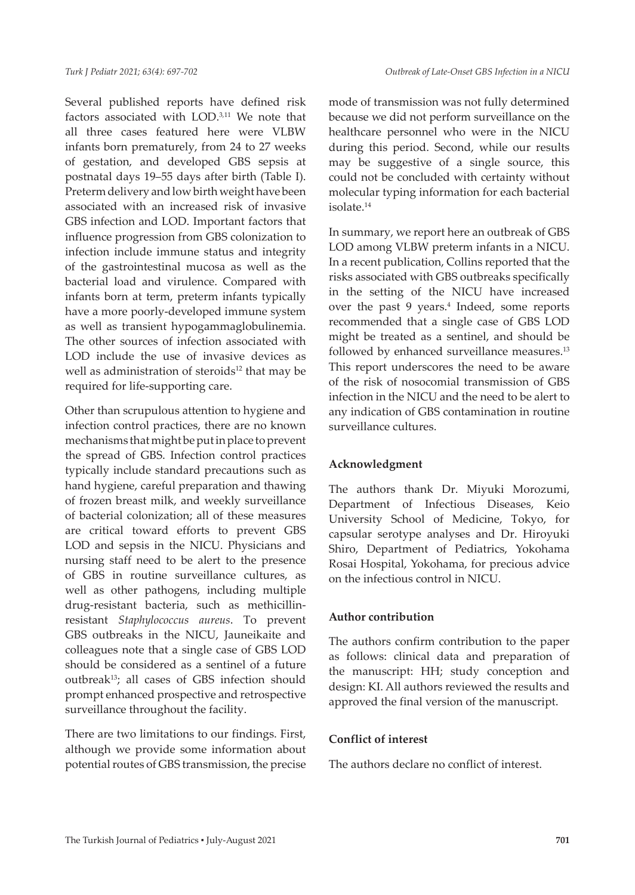Several published reports have defined risk factors associated with LOD.3,11 We note that all three cases featured here were VLBW infants born prematurely, from 24 to 27 weeks of gestation, and developed GBS sepsis at postnatal days 19–55 days after birth (Table I). Preterm delivery and low birth weight have been associated with an increased risk of invasive GBS infection and LOD. Important factors that influence progression from GBS colonization to infection include immune status and integrity of the gastrointestinal mucosa as well as the bacterial load and virulence. Compared with infants born at term, preterm infants typically have a more poorly-developed immune system as well as transient hypogammaglobulinemia. The other sources of infection associated with LOD include the use of invasive devices as well as administration of steroids<sup>12</sup> that may be required for life-supporting care.

Other than scrupulous attention to hygiene and infection control practices, there are no known mechanisms that might be put in place to prevent the spread of GBS. Infection control practices typically include standard precautions such as hand hygiene, careful preparation and thawing of frozen breast milk, and weekly surveillance of bacterial colonization; all of these measures are critical toward efforts to prevent GBS LOD and sepsis in the NICU. Physicians and nursing staff need to be alert to the presence of GBS in routine surveillance cultures, as well as other pathogens, including multiple drug-resistant bacteria, such as methicillinresistant *Staphylococcus aureus*. To prevent GBS outbreaks in the NICU, Jauneikaite and colleagues note that a single case of GBS LOD should be considered as a sentinel of a future outbreak13; all cases of GBS infection should prompt enhanced prospective and retrospective surveillance throughout the facility.

There are two limitations to our findings. First, although we provide some information about potential routes of GBS transmission, the precise mode of transmission was not fully determined because we did not perform surveillance on the healthcare personnel who were in the NICU during this period. Second, while our results may be suggestive of a single source, this could not be concluded with certainty without molecular typing information for each bacterial isolate.<sup>14</sup>

In summary, we report here an outbreak of GBS LOD among VLBW preterm infants in a NICU. In a recent publication, Collins reported that the risks associated with GBS outbreaks specifically in the setting of the NICU have increased over the past 9 years.4 Indeed, some reports recommended that a single case of GBS LOD might be treated as a sentinel, and should be followed by enhanced surveillance measures.<sup>13</sup> This report underscores the need to be aware of the risk of nosocomial transmission of GBS infection in the NICU and the need to be alert to any indication of GBS contamination in routine surveillance cultures.

# **Acknowledgment**

The authors thank Dr. Miyuki Morozumi, Department of Infectious Diseases, Keio University School of Medicine, Tokyo, for capsular serotype analyses and Dr. Hiroyuki Shiro, Department of Pediatrics, Yokohama Rosai Hospital, Yokohama, for precious advice on the infectious control in NICU.

# **Author contribution**

The authors confirm contribution to the paper as follows: clinical data and preparation of the manuscript: HH; study conception and design: KI. All authors reviewed the results and approved the final version of the manuscript.

#### **Conflict of interest**

The authors declare no conflict of interest.